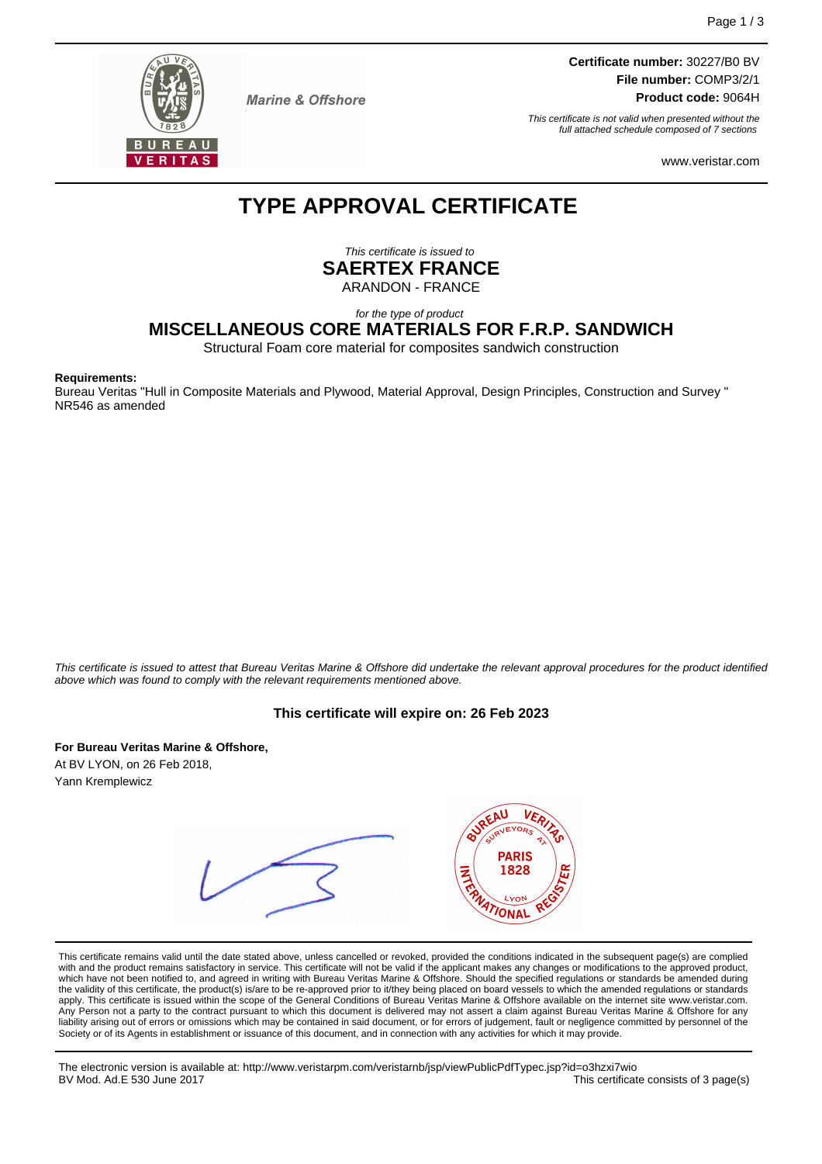

**Marine & Offshore** 

**Certificate number:** 30227/B0 BV **File number:** COMP3/2/1 **Product code:** 9064H

This certificate is not valid when presented without the full attached schedule composed of 7 sections

www.veristar.com

# **TYPE APPROVAL CERTIFICATE**

This certificate is issued to **SAERTEX FRANCE** ARANDON - FRANCE

for the type of product

# **MISCELLANEOUS CORE MATERIALS FOR F.R.P. SANDWICH**

Structural Foam core material for composites sandwich construction

#### **Requirements:**

Bureau Veritas "Hull in Composite Materials and Plywood, Material Approval, Design Principles, Construction and Survey " NR546 as amended

This certificate is issued to attest that Bureau Veritas Marine & Offshore did undertake the relevant approval procedures for the product identified above which was found to comply with the relevant requirements mentioned above.

#### **This certificate will expire on: 26 Feb 2023**

**For Bureau Veritas Marine & Offshore,**

At BV LYON, on 26 Feb 2018, Yann Kremplewicz



This certificate remains valid until the date stated above, unless cancelled or revoked, provided the conditions indicated in the subsequent page(s) are complied with and the product remains satisfactory in service. This certificate will not be valid if the applicant makes any changes or modifications to the approved product, which have not been notified to, and agreed in writing with Bureau Veritas Marine & Offshore. Should the specified regulations or standards be amended during<br>the validity of this certificate, the product(s) is/are to be re apply. This certificate is issued within the scope of the General Conditions of Bureau Veritas Marine & Offshore available on the internet site www.veristar.com. Any Person not a party to the contract pursuant to which this document is delivered may not assert a claim against Bureau Veritas Marine & Offshore for any liability arising out of errors or omissions which may be contained in said document, or for errors of judgement, fault or negligence committed by personnel of the<br>Society or of its Agents in establishment or issuance of t

The electronic version is available at: http://www.veristarpm.com/veristarnb/jsp/viewPublicPdfTypec.jsp?id=o3hzxi7wio This certificate consists of 3 page(s)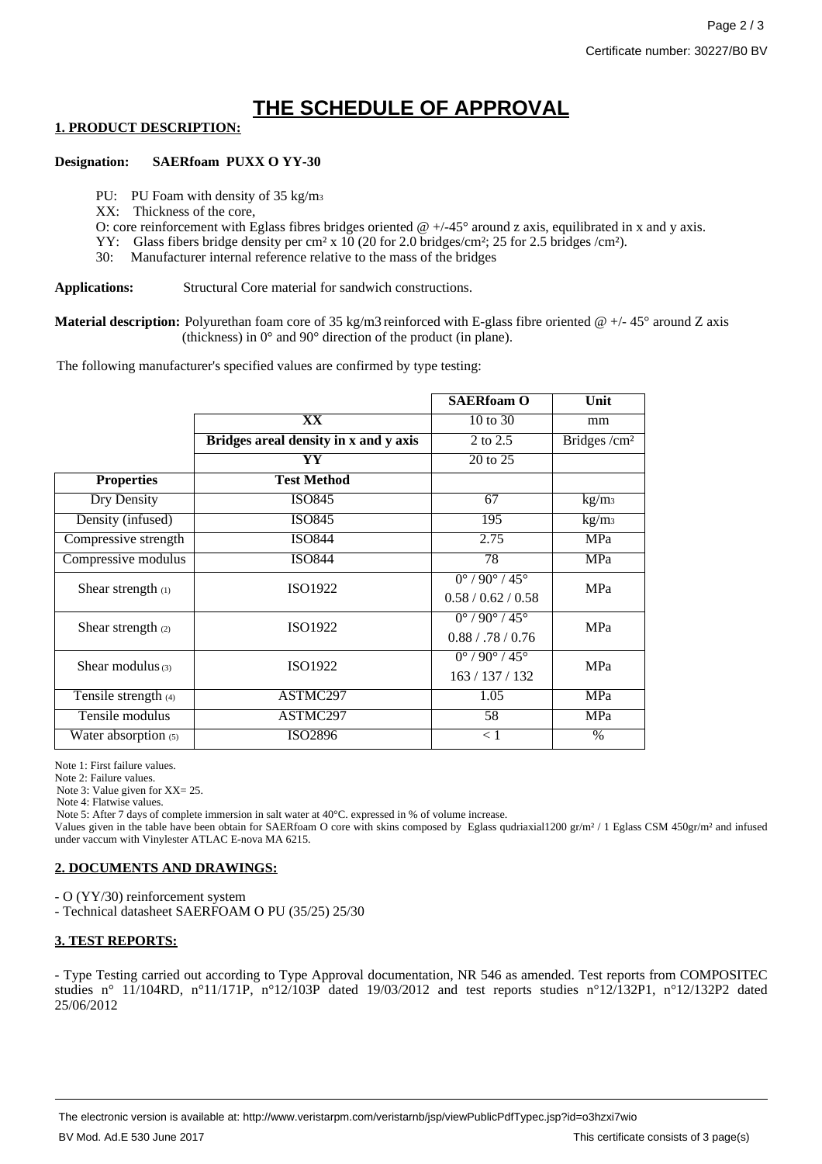# **THE SCHEDULE OF APPROVAL**

# **1. PRODUCT DESCRIPTION:**

#### **Designation: SAERfoam PUXX O YY-30**

PU: PU Foam with density of 35 kg/m<sub>3</sub>

XX: Thickness of the core,

O: core reinforcement with Eglass fibres bridges oriented  $@ +/-45°$  around z axis, equilibrated in x and y axis.

YY: Glass fibers bridge density per cm² x 10 (20 for 2.0 bridges/cm²; 25 for 2.5 bridges /cm²).

30: Manufacturer internal reference relative to the mass of the bridges

**Applications:** Structural Core material for sandwich constructions.

**Material description:** Polyurethan foam core of 35 kg/m3 reinforced with E-glass fibre oriented @ +/- 45° around Z axis (thickness) in 0° and 90° direction of the product (in plane).

The following manufacturer's specified values are confirmed by type testing:

|                      |                                       | <b>SAERfoam O</b>                           | Unit                      |
|----------------------|---------------------------------------|---------------------------------------------|---------------------------|
|                      | XX                                    | 10 to 30                                    | mm                        |
|                      | Bridges areal density in x and y axis | 2 to 2.5                                    | $\overline{Bridges/cm^2}$ |
|                      | YY                                    | 20 to 25                                    |                           |
| <b>Properties</b>    | <b>Test Method</b>                    |                                             |                           |
| <b>Dry Density</b>   | <b>ISO845</b>                         | 67                                          | kg/m <sub>3</sub>         |
| Density (infused)    | <b>ISO845</b>                         | 195                                         | kg/m <sub>3</sub>         |
| Compressive strength | <b>ISO844</b>                         | 2.75                                        | MPa                       |
| Compressive modulus  | <b>ISO844</b>                         | 78                                          | MPa                       |
| Shear strength (1)   | ISO1922                               | $0^{\circ}$ / 90 $^{\circ}$ / 45 $^{\circ}$ | <b>MPa</b>                |
|                      |                                       | 0.58/0.62/0.58                              |                           |
| Shear strength $(2)$ | ISO1922                               | $0^{\circ}$ / 90 $^{\circ}$ / 45 $^{\circ}$ | MPa                       |
|                      |                                       | 0.88 / .78 / 0.76                           |                           |
| Shear modulus $(3)$  | ISO1922                               | $0^{\circ}$ / 90 $^{\circ}$ / 45 $^{\circ}$ | <b>MPa</b>                |
|                      |                                       | 163/137/132                                 |                           |
| Tensile strength (4) | ASTMC297                              | 1.05                                        | MPa                       |
| Tensile modulus      | ASTMC297                              | $\overline{58}$                             | MPa                       |
| Water absorption (5) | ISO2896                               | < 1                                         | $\%$                      |

Note 1: First failure values.

Note 2: Failure values.

Note 3: Value given for XX= 25.

Note 4: Flatwise values.

Note 5: After 7 days of complete immersion in salt water at  $40^{\circ}$ C. expressed in % of volume increase.

Values given in the table have been obtain for SAERfoam O core with skins composed by Eglass qudriaxial1200 gr/m² / 1 Eglass CSM 450gr/m² and infused under vaccum with Vinylester ATLAC E-nova MA 6215.

#### **2. DOCUMENTS AND DRAWINGS:**

- O (YY/30) reinforcement system

- Technical datasheet SAERFOAM O PU (35/25) 25/30

# **3. TEST REPORTS:**

- Type Testing carried out according to Type Approval documentation, NR 546 as amended. Test reports from COMPOSITEC studies n° 11/104RD, n°11/171P, n°12/103P dated 19/03/2012 and test reports studies n°12/132P1, n°12/132P2 dated 25/06/2012

The electronic version is available at: http://www.veristarpm.com/veristarnb/jsp/viewPublicPdfTypec.jsp?id=o3hzxi7wio BV Mod. Ad.E 530 June 2017 **This certificate consists of 3 page(s)** BV Mod. Ad.E 530 June 2017